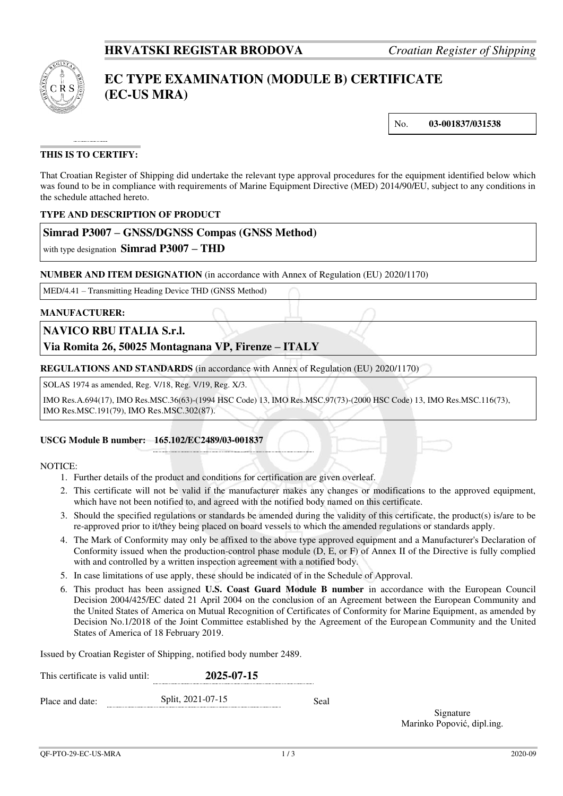

# **EC TYPE EXAMINATION (MODULE B) CERTIFICATE (EC-US MRA)**

No. **03-001837/031538**

# **THIS IS TO CERTIFY:**

That Croatian Register of Shipping did undertake the relevant type approval procedures for the equipment identified below which was found to be in compliance with requirements of Marine Equipment Directive (MED) 2014/90/EU, subject to any conditions in the schedule attached hereto.

#### **TYPE AND DESCRIPTION OF PRODUCT**

## **Simrad P3007 – GNSS/DGNSS Compas (GNSS Method)**

with type designation **Simrad P3007 – THD**

#### **NUMBER AND ITEM DESIGNATION** (in accordance with Annex of Regulation (EU) 2020/1170)

MED/4.41 – Transmitting Heading Device THD (GNSS Method)

#### **MANUFACTURER:**

## **NAVICO RBU ITALIA S.r.l.**

# **Via Romita 26, 50025 Montagnana VP, Firenze – ITALY**

**REGULATIONS AND STANDARDS** (in accordance with Annex of Regulation (EU) 2020/1170)

SOLAS 1974 as amended, Reg. V/18, Reg. V/19, Reg. X/3.

IMO Res.A.694(17), IMO Res.MSC.36(63)-(1994 HSC Code) 13, IMO Res.MSC.97(73)-(2000 HSC Code) 13, IMO Res.MSC.116(73), IMO Res.MSC.191(79), IMO Res.MSC.302(87).

#### **USCG Module B number: 165.102/EC2489/03-001837**

#### NOTICE:

- 1. Further details of the product and conditions for certification are given overleaf.
- 2. This certificate will not be valid if the manufacturer makes any changes or modifications to the approved equipment, which have not been notified to, and agreed with the notified body named on this certificate.
- 3. Should the specified regulations or standards be amended during the validity of this certificate, the product(s) is/are to be re-approved prior to it/they being placed on board vessels to which the amended regulations or standards apply.
- 4. The Mark of Conformity may only be affixed to the above type approved equipment and a Manufacturer's Declaration of Conformity issued when the production-control phase module (D, E, or F) of Annex II of the Directive is fully complied with and controlled by a written inspection agreement with a notified body.
- 5. In case limitations of use apply, these should be indicated of in the Schedule of Approval.
- 6. This product has been assigned **U.S. Coast Guard Module B number** in accordance with the European Council Decision 2004/425/EC dated 21 April 2004 on the conclusion of an Agreement between the European Community and the United States of America on Mutual Recognition of Certificates of Conformity for Marine Equipment, as amended by Decision No.1/2018 of the Joint Committee established by the Agreement of the European Community and the United States of America of 18 February 2019.

Issued by Croatian Register of Shipping, notified body number 2489.

| This certificate is valid until: |  | 2025-07-15        |      |  |
|----------------------------------|--|-------------------|------|--|
| Place and date:                  |  | Split, 2021-07-15 | Seal |  |

Signature Marinko Popović, dipl.ing.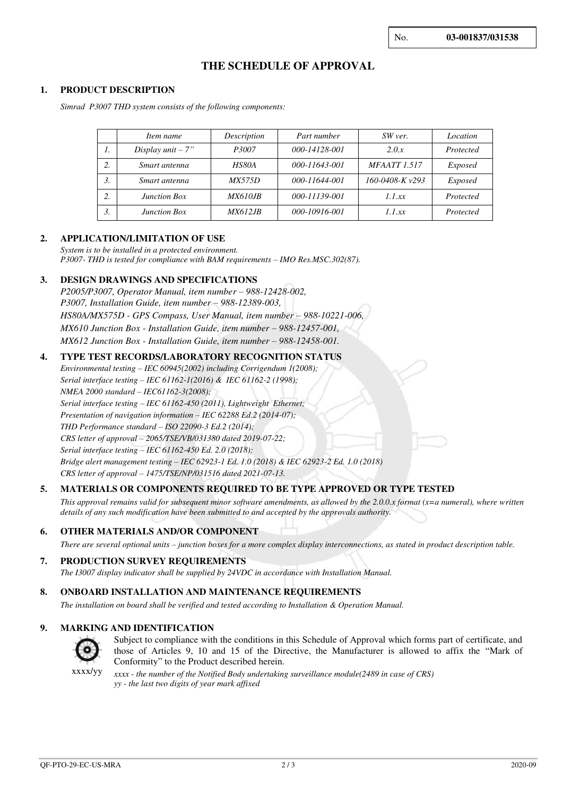# **THE SCHEDULE OF APPROVAL**

#### **1. PRODUCT DESCRIPTION**

*Simrad P3007 THD system consists of the following components:* 

|    | Item name            | Description     | Part number   | SW ver.             | Location       |
|----|----------------------|-----------------|---------------|---------------------|----------------|
| 1. | Display $unit - 7$ " | P3007           | 000-14128-001 | 2.0.x               | Protected      |
| 2. | Smart antenna        | HS80A           | 000-11643-001 | <b>MFAATT</b> 1.517 | <i>Exposed</i> |
| 3. | Smart antenna        | <i>MX575D</i>   | 000-11644-001 | 160-0408-K v293     | <i>Exposed</i> |
| 2. | <b>Junction Box</b>  | <i>MX610JB</i>  | 000-11139-001 | 1.1 xx              | Protected      |
| 3. | <b>Junction Box</b>  | <i>MX612.IB</i> | 000-10916-001 | 1.1 xx              | Protected      |

#### **2. APPLICATION/LIMITATION OF USE**

*System is to be installed in a protected environment. P3007- THD is tested for compliance with BAM requirements – IMO Res.MSC.302(87).* 

#### **3. DESIGN DRAWINGS AND SPECIFICATIONS**

*P2005/P3007, Operator Manual, item number – 988-12428-002, P3007, Installation Guide, item number – 988-12389-003, HS80A/MX575D - GPS Compass, User Manual, item number – 988-10221-006, MX610 Junction Box - Installation Guide, item number - 988-12457-001, MX612 Junction Box - Installation Guide, item number – 988-12458-001.* 

#### **4. TYPE TEST RECORDS/LABORATORY RECOGNITION STATUS**

*Environmental testing – IEC 60945(2002) including Corrigendum 1(2008); Serial interface testing – IEC 61162-1(2016) & IEC 61162-2 (1998); NMEA 2000 standard – IEC61162-3(2008); Serial interface testing – IEC 61162-450 (2011), Lightweight Ethernet; Presentation of navigation information – IEC 62288 Ed.2 (2014-07); THD Performance standard – ISO 22090-3 Ed.2 (2014); CRS letter of approval – 2065/TSE/VB/031380 dated 2019-07-22; Serial interface testing – IEC 61162-450 Ed. 2.0 (2018); Bridge alert management testing – IEC 62923-1 Ed. 1.0 (2018) & IEC 62923-2 Ed. 1.0 (2018) CRS letter of approval – 1475/TSE/NP/031516 dated 2021-07-13.*

#### **5. MATERIALS OR COMPONENTS REQUIRED TO BE TYPE APPROVED OR TYPE TESTED**

*This approval remains valid for subsequent minor software amendments, as allowed by the 2.0.0.x format (x=a numeral), where written details of any such modification have been submitted to and accepted by the approvals authority.*

#### **6. OTHER MATERIALS AND/OR COMPONENT**

*There are several optional units – junction boxes for a more complex display interconnections, as stated in product description table.*

#### **7. PRODUCTION SURVEY REQUIREMENTS**

*The I3007 display indicator shall be supplied by 24VDC in accordance with Installation Manual.* 

#### **8. ONBOARD INSTALLATION AND MAINTENANCE REQUIREMENTS**

*The installation on board shall be verified and tested according to Installation & Operation Manual.*

#### **9. MARKING AND IDENTIFICATION**



Subject to compliance with the conditions in this Schedule of Approval which forms part of certificate, and those of Articles 9, 10 and 15 of the Directive, the Manufacturer is allowed to affix the "Mark of Conformity" to the Product described herein.

xxxx/yy*xxxx - the number of the Notified Body undertaking surveillance module(2489 in case of CRS) yy - the last two digits of year mark affixed*